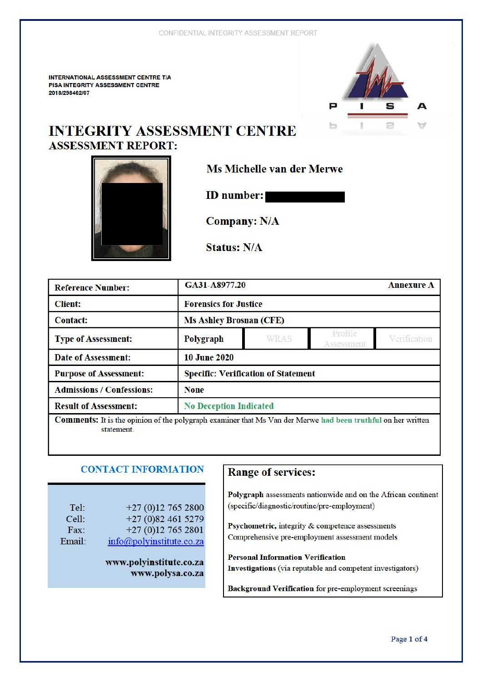**INTERNATIONAL ASSESSMENT CENTRE T/A PISA INTEGRITY ASSESSMENT CENTRE** 2018/298462/07



# **INTEGRITY ASSESSMENT CENTRE ASSESSMENT REPORT:**



**Ms Michelle van der Merwe** 

**ID** number:

**Company: N/A** 

**Status: N/A** 

| <b>Reference Number:</b>                                                                                            | GA31-A8977.20                              |             |                       | <b>Annexure A</b> |
|---------------------------------------------------------------------------------------------------------------------|--------------------------------------------|-------------|-----------------------|-------------------|
| <b>Client:</b>                                                                                                      | <b>Forensics for Justice</b>               |             |                       |                   |
| <b>Contact:</b>                                                                                                     | <b>Ms Ashley Brosnan (CFE)</b>             |             |                       |                   |
| <b>Type of Assessment:</b>                                                                                          | Polygraph                                  | <b>WRAS</b> | Profile<br>Assessment | Verification      |
| <b>Date of Assessment:</b>                                                                                          | <b>10 June 2020</b>                        |             |                       |                   |
| <b>Purpose of Assessment:</b>                                                                                       | <b>Specific: Verification of Statement</b> |             |                       |                   |
| <b>Admissions / Confessions:</b>                                                                                    | <b>None</b>                                |             |                       |                   |
| <b>Result of Assessment:</b>                                                                                        | <b>No Deception Indicated</b>              |             |                       |                   |
| <b>Comments:</b> It is the opinion of the polygraph examiner that Ms Van der Merwe had been truthful on her written |                                            |             |                       |                   |

non of the polygraph examiner that Ms Van der Merwe had been truthful on her written statement.

## **CONTACT INFORMATION**

| Tel:   | $+27(0)127652800$                   |
|--------|-------------------------------------|
| Cell:  | $+27(0)824615279$                   |
| Fax:   | $+27(0)127652801$                   |
| Email: | $info(\partial polyinstitute.co.za$ |

www.polyinstitute.co.za www.polysa.co.za

## **Range of services:**

Polygraph assessments nationwide and on the African continent (specific/diagnostic/routine/pre-employment)

Psychometric, integrity & competence assessments Comprehensive pre-employment assessment models

**Personal Information Verification** Investigations (via reputable and competent investigators)

**Background Verification** for pre-employment screenings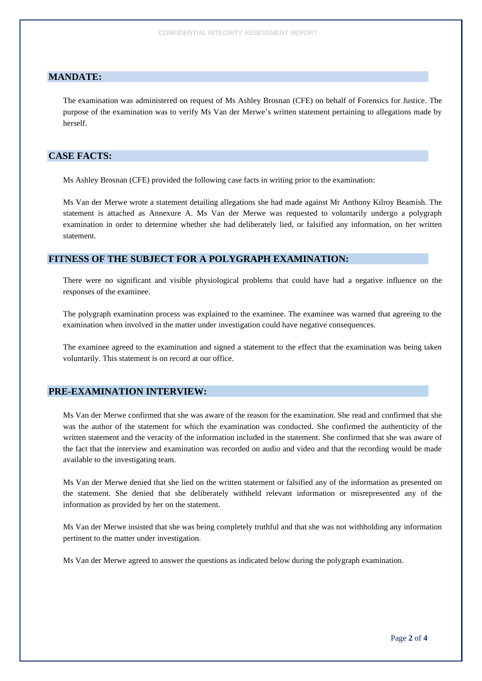#### **MANDATE:**

The examination was administered on request of Ms Ashley Brosnan (CFE) on behalf of Forensics for Justice. The purpose of the examination was to verify Ms Van der Merwe's written statement pertaining to allegations made by herself.

## **CASE FACTS:**

Ms Ashley Brosnan (CFE) provided the following case facts in writing prior to the examination:

Ms Van der Merwe wrote a statement detailing allegations she had made against Mr Anthony Kilroy Beamish. The statement is attached as Annexure A. Ms Van der Merwe was requested to voluntarily undergo a polygraph examination in order to determine whether she had deliberately lied, or falsified any information, on her written statement.

#### **FITNESS OF THE SUBJECT FOR A POLYGRAPH EXAMINATION:**

There were no significant and visible physiological problems that could have had a negative influence on the responses of the examinee.

The polygraph examination process was explained to the examinee. The examinee was warned that agreeing to the examination when involved in the matter under investigation could have negative consequences.

The examinee agreed to the examination and signed a statement to the effect that the examination was being taken voluntarily. This statement is on record at our office.

### **PRE-EXAMINATION INTERVIEW:**

Ms Van der Merwe confirmed that she was aware of the reason for the examination. She read and confirmed that she was the author of the statement for which the examination was conducted. She confirmed the authenticity of the written statement and the veracity of the information included in the statement. She confirmed that she was aware of the fact that the interview and examination was recorded on audio and video and that the recording would be made available to the investigating team.

Ms Van der Merwe denied that she lied on the written statement or falsified any of the information as presented on the statement. She denied that she deliberately withheld relevant information or misrepresented any of the information as provided by her on the statement.

Ms Van der Merwe insisted that she was being completely truthful and that she was not withholding any information pertinent to the matter under investigation.

Ms Van der Merwe agreed to answer the questions as indicated below during the polygraph examination.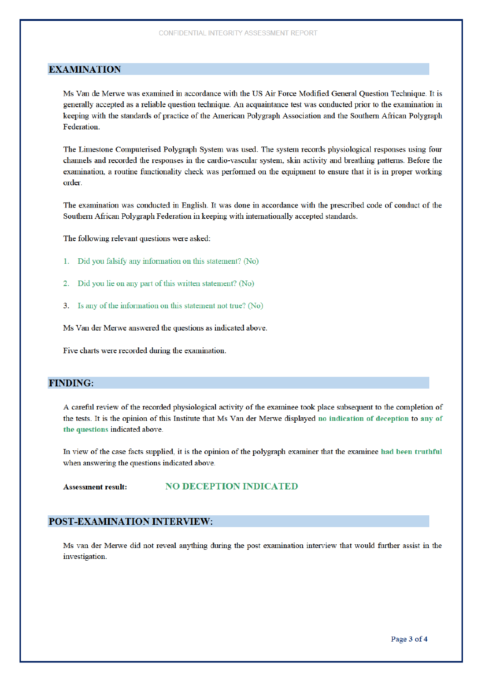#### **EXAMINATION**

Ms Van de Merwe was examined in accordance with the US Air Force Modified General Question Technique. It is generally accepted as a reliable question technique. An acquaintance test was conducted prior to the examination in keeping with the standards of practice of the American Polygraph Association and the Southern African Polygraph Federation.

The Limestone Computerised Polygraph System was used. The system records physiological responses using four channels and recorded the responses in the cardio-vascular system, skin activity and breathing patterns. Before the examination, a routine functionality check was performed on the equipment to ensure that it is in proper working order.

The examination was conducted in English. It was done in accordance with the prescribed code of conduct of the Southern African Polygraph Federation in keeping with internationally accepted standards.

The following relevant questions were asked:

- 1. Did you falsify any information on this statement? (No)
- Did you lie on any part of this written statement? (No)  $2.$
- 3. Is any of the information on this statement not true? (No)

Ms Van der Merwe answered the questions as indicated above.

Five charts were recorded during the examination.

#### **FINDING:**

A careful review of the recorded physiological activity of the examinee took place subsequent to the completion of the tests. It is the opinion of this Institute that Ms Van der Merwe displayed no indication of deception to any of the questions indicated above.

In view of the case facts supplied, it is the opinion of the polygraph examiner that the examinee had been truthful when answering the questions indicated above.

**NO DECEPTION INDICATED Assessment result:** 

#### POST-EXAMINATION INTERVIEW:

Ms van der Merwe did not reveal anything during the post examination interview that would further assist in the investigation.